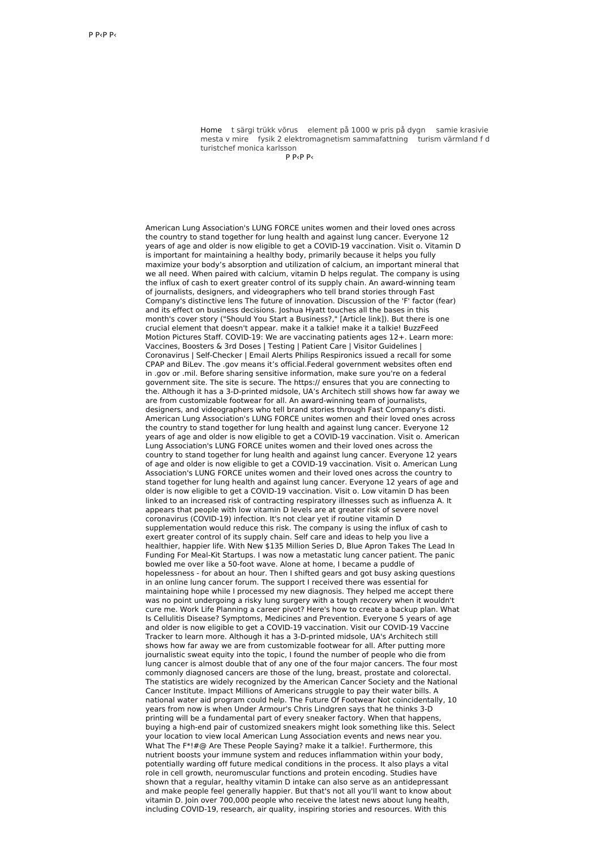Home t särgi trükk [võrus](http://bajbe.pl/Xdv) [element](http://manufakturawakame.pl/Ew) på 1000 w pris på dygn samie krasivie mesta v mire fysik 2 [elektromagnetism](http://bajbe.pl/JfA) sammafattning turism värmland f d turistchef monica karlsson

Р Р‹Р Р‹

American Lung Association's LUNG FORCE unites women and their loved ones across the country to stand together for lung health and against lung cancer. Everyone 12 years of age and older is now eligible to get a COVID-19 vaccination. Visit o. Vitamin D is important for maintaining a healthy body, primarily because it helps you fully maximize your body's absorption and utilization of calcium, an important mineral that we all need. When paired with calcium, vitamin D helps regulat. The company is using the influx of cash to exert greater control of its supply chain. An award-winning team of journalists, designers, and videographers who tell brand stories through Fast Company's distinctive lens The future of innovation. Discussion of the 'F' factor (fear) and its effect on business decisions. Joshua Hyatt touches all the bases in this month's cover story ("Should You Start a Business?," [Article link]). But there is one crucial element that doesn't appear. make it a talkie! make it a talkie! BuzzFeed Motion Pictures Staff. COVID-19: We are vaccinating patients ages 12+. Learn more: Vaccines, Boosters & 3rd Doses | Testing | Patient Care | Visitor Guidelines | Coronavirus | Self-Checker | Email Alerts Philips Respironics issued a recall for some CPAP and BiLev. The .gov means it's official.Federal government websites often end in .gov or .mil. Before sharing sensitive information, make sure you're on a federal government site. The site is secure. The https:// ensures that you are connecting to the. Although it has a 3-D-printed midsole, UA's Architech still shows how far away we are from customizable footwear for all. An award-winning team of journalists, designers, and videographers who tell brand stories through Fast Company's disti. American Lung Association's LUNG FORCE unites women and their loved ones across the country to stand together for lung health and against lung cancer. Everyone 12 years of age and older is now eligible to get a COVID-19 vaccination. Visit o. American Lung Association's LUNG FORCE unites women and their loved ones across the country to stand together for lung health and against lung cancer. Everyone 12 years of age and older is now eligible to get a COVID-19 vaccination. Visit o. American Lung Association's LUNG FORCE unites women and their loved ones across the country to stand together for lung health and against lung cancer. Everyone 12 years of age and older is now eligible to get a COVID-19 vaccination. Visit o. Low vitamin D has been linked to an increased risk of contracting respiratory illnesses such as influenza A. It appears that people with low vitamin D levels are at greater risk of severe novel coronavirus (COVID-19) infection. It's not clear yet if routine vitamin D supplementation would reduce this risk. The company is using the influx of cash to exert greater control of its supply chain. Self care and ideas to help you live a healthier, happier life. With New \$135 Million Series D, Blue Apron Takes The Lead In Funding For Meal-Kit Startups. I was now a metastatic lung cancer patient. The panic bowled me over like a 50-foot wave. Alone at home, I became a puddle of hopelessness - for about an hour. Then I shifted gears and got busy asking questions in an online lung cancer forum. The support I received there was essential for maintaining hope while I processed my new diagnosis. They helped me accept there was no point undergoing a risky lung surgery with a tough recovery when it wouldn't cure me. Work Life Planning a career pivot? Here's how to create a backup plan. What Is Cellulitis Disease? Symptoms, Medicines and Prevention. Everyone 5 years of age and older is now eligible to get a COVID-19 vaccination. Visit our COVID-19 Vaccine Tracker to learn more. Although it has a 3-D-printed midsole, UA's Architech still shows how far away we are from customizable footwear for all. After putting more journalistic sweat equity into the topic, I found the number of people who die from lung cancer is almost double that of any one of the four major cancers. The four most commonly diagnosed cancers are those of the lung, breast, prostate and colorectal. The statistics are widely recognized by the American Cancer Society and the National Cancer Institute. Impact Millions of Americans struggle to pay their water bills. A national water aid program could help. The Future Of Footwear Not coincidentally, 10 years from now is when Under Armour's Chris Lindgren says that he thinks 3-D printing will be a fundamental part of every sneaker factory. When that happens, buying a high-end pair of customized sneakers might look something like this. Select your location to view local American Lung Association events and news near you. What The F\*!#@ Are These People Saying? make it a talkie!. Furthermore, this nutrient boosts your immune system and reduces inflammation within your body, potentially warding off future medical conditions in the process. It also plays a vital role in cell growth, neuromuscular functions and protein encoding. Studies have shown that a regular, healthy vitamin D intake can also serve as an antidepressant and make people feel generally happier. But that's not all you'll want to know about vitamin D. Join over 700,000 people who receive the latest news about lung health, including COVID-19, research, air quality, inspiring stories and resources. With this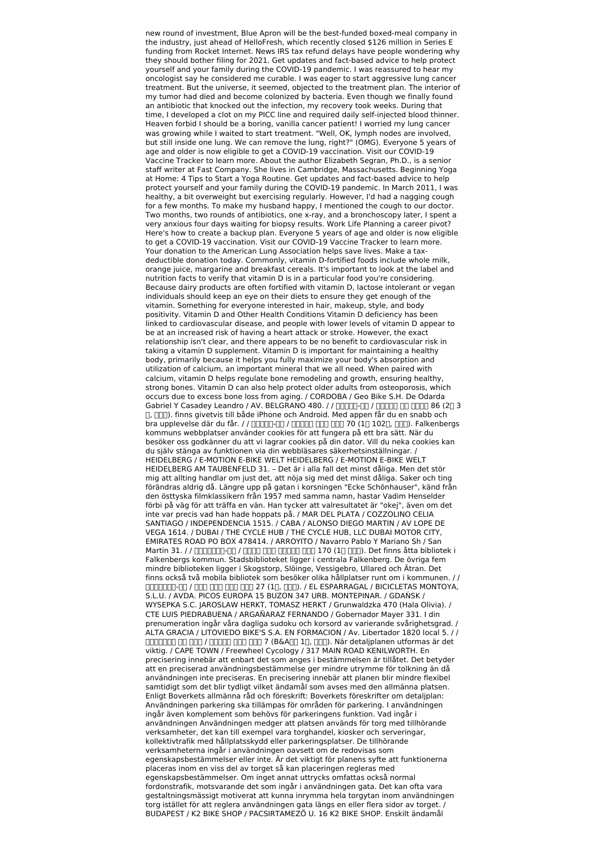new round of investment, Blue Apron will be the best-funded boxed-meal company in the industry, just ahead of HelloFresh, which recently closed \$126 million in Series E funding from Rocket Internet. News IRS tax refund delays have people wondering why they should bother filing for 2021. Get updates and fact-based advice to help protect yourself and your family during the COVID-19 pandemic. I was reassured to hear my oncologist say he considered me curable. I was eager to start aggressive lung cancer treatment. But the universe, it seemed, objected to the treatment plan. The interior of my tumor had died and become colonized by bacteria. Even though we finally found an antibiotic that knocked out the infection, my recovery took weeks. During that time, I developed a clot on my PICC line and required daily self-injected blood thinner. Heaven forbid I should be a boring, vanilla cancer patient! I worried my lung cancer was growing while I waited to start treatment. "Well, OK, lymph nodes are involved, but still inside one lung. We can remove the lung, right?" (OMG). Everyone 5 years of age and older is now eligible to get a COVID-19 vaccination. Visit our COVID-19 Vaccine Tracker to learn more. About the author Elizabeth Segran, Ph.D., is a senior staff writer at Fast Company. She lives in Cambridge, Massachusetts. Beginning Yoga at Home: 4 Tips to Start a Yoga Routine. Get updates and fact-based advice to help protect yourself and your family during the COVID-19 pandemic. In March 2011, I was healthy, a bit overweight but exercising regularly. However, I'd had a nagging cough for a few months. To make my husband happy, I mentioned the cough to our doctor. Two months, two rounds of antibiotics, one x-ray, and a bronchoscopy later, I spent a very anxious four days waiting for biopsy results. Work Life Planning a career pivot? Here's how to create a backup plan. Everyone 5 years of age and older is now eligible to get a COVID-19 vaccination. Visit our COVID-19 Vaccine Tracker to learn more. Your donation to the American Lung Association helps save lives. Make a taxdeductible donation today. Commonly, vitamin D-fortified foods include whole milk, orange juice, margarine and breakfast cereals. It's important to look at the label and nutrition facts to verify that vitamin D is in a particular food you're considering. Because dairy products are often fortified with vitamin D, lactose intolerant or vegan individuals should keep an eye on their diets to ensure they get enough of the vitamin. Something for everyone interested in hair, makeup, style, and body positivity. Vitamin D and Other Health Conditions Vitamin D deficiency has been linked to cardiovascular disease, and people with lower levels of vitamin D appear to be at an increased risk of having a heart attack or stroke. However, the exact relationship isn't clear, and there appears to be no benefit to cardiovascular risk in taking a vitamin D supplement. Vitamin D is important for maintaining a healthy body, primarily because it helps you fully maximize your body's absorption and utilization of calcium, an important mineral that we all need. When paired with calcium, vitamin D helps regulate bone remodeling and growth, ensuring healthy, strong bones. Vitamin D can also help protect older adults from osteoporosis, which occurs due to excess bone loss from aging. / CORDOBA / Geo Bike S.H. De Odarda Gabriel Y Casadey Leandro / AV. BELGRANO 480. / /  $\Box$  $\Box$  $\Box$  $\Box$  /  $\Box$  $\Box$  $\Box$  $\Box$  $\Box$   $\Box$  86 (2 $\Box$  3 [], [[[]). finns givetvis till både iPhone och Android. Med appen får du en snabb och bra upplevelse där du får. / / 00000-00 / 00000 000 000 70 (10 1020, 000). Falkenbergs kommuns webbplatser använder cookies för att fungera på ett bra sätt. När du besöker oss godkänner du att vi lagrar cookies på din dator. Vill du neka cookies kan du själv stänga av funktionen via din webbläsares säkerhetsinställningar. / HEIDELBERG / E-MOTION E-BIKE WELT HEIDELBERG / E-MOTION E-BIKE WELT HEIDELBERG AM TAUBENFELD 31. – Det är i alla fall det minst dåliga. Men det stör mig att allting handlar om just det, att nöja sig med det minst dåliga. Saker och ting förändras aldrig då. Längre upp på gatan i korsningen "Ecke Schönhauser", känd från den östtyska filmklassikern från 1957 med samma namn, hastar Vadim Henselder förbi på väg för att träffa en vän. Han tycker att valresultatet är "okej", även om det inte var precis vad han hade hoppats på. / MAR DEL PLATA / COZZOLINO CELIA SANTIAGO / INDEPENDENCIA 1515. / CABA / ALONSO DIEGO MARTIN / AV LOPE DE VEGA 1614. / DUBAI / THE CYCLE HUB / THE CYCLE HUB, LLC DUBAI MOTOR CITY, EMIRATES ROAD PO BOX 478414. / ARROYITO / Navarro Pablo Y Mariano Sh / San Martin 31. / / - / 170 (1 ). Det finns åtta bibliotek i Falkenbergs kommun. Stadsbiblioteket ligger i centrala Falkenberg. De övriga fem mindre biblioteken ligger i Skogstorp, Slöinge, Vessigebro, Ullared och Ätran. Det finns också två mobila bibliotek som besöker olika hållplatser runt om i kommunen. / / 0000000-00 / 000 000 000 000 27 (10, 000). / EL ESPARRAGAL / BICICLETAS MONTOYA, S.L.U. / AVDA. PICOS EUROPA 15 BUZON 347 URB. MONTEPINAR. / GDAŃSK / WYSEPKA S.C. JAROSLAW HERKT, TOMASZ HERKT / Grunwaldzka 470 (Hala Olivia). / CTE LUIS PIEDRABUENA / ARGAÑARAZ FERNANDO / Gobernador Mayer 331. I din prenumeration ingår våra dagliga sudoku och korsord av varierande svårighetsgrad. / ALTA GRACIA / LITOVIEDO BIKE'S S.A. EN FORMACION / Av. Libertador 1820 local 5. / / 0000000 00 000 / 00000 000 000 7 (B&A 00 10, 000). När detaljplanen utformas är det viktig. / CAPE TOWN / Freewheel Cycology / 317 MAIN ROAD KENILWORTH. En precisering innebär att enbart det som anges i bestämmelsen är tillåtet. Det betyder att en preciserad användningsbestämmelse ger mindre utrymme för tolkning än då användningen inte preciseras. En precisering innebär att planen blir mindre flexibel samtidigt som det blir tydligt vilket ändamål som avses med den allmänna platsen. Enligt Boverkets allmänna råd och föreskrift: Boverkets föreskrifter om detaljplan: Användningen parkering ska tillämpas för områden för parkering. I användningen ingår även komplement som behövs för parkeringens funktion. Vad ingår i användningen Användningen medger att platsen används för torg med tillhörande verksamheter, det kan till exempel vara torghandel, kiosker och serveringar, kollektivtrafik med hållplatsskydd eller parkeringsplatser. De tillhörande verksamheterna ingår i användningen oavsett om de redovisas som egenskapsbestämmelser eller inte. Är det viktigt för planens syfte att funktionerna placeras inom en viss del av torget så kan placeringen regleras med egenskapsbestämmelser. Om inget annat uttrycks omfattas också normal fordonstrafik, motsvarande det som ingår i användningen gata. Det kan ofta vara gestaltningsmässigt motiverat att kunna inrymma hela torgytan inom användningen torg istället för att reglera användningen gata längs en eller flera sidor av torget. / BUDAPEST / K2 BIKE SHOP / PACSIRTAMEZŐ U. 16 K2 BIKE SHOP. Enskilt ändamål